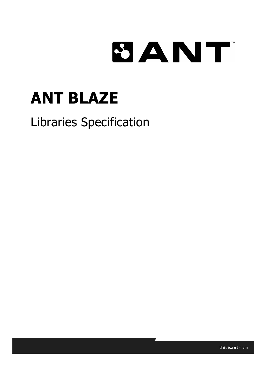# 8ANT

# **ANT BLAZE**

## Libraries Specification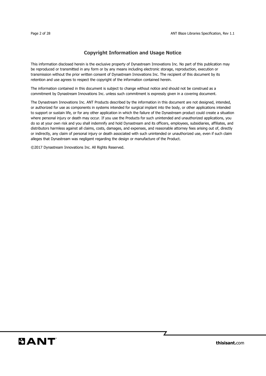#### **Copyright Information and Usage Notice**

This information disclosed herein is the exclusive property of Dynastream Innovations Inc. No part of this publication may be reproduced or transmitted in any form or by any means including electronic storage, reproduction, execution or transmission without the prior written consent of Dynastream Innovations Inc. The recipient of this document by its retention and use agrees to respect the copyright of the information contained herein.

The information contained in this document is subject to change without notice and should not be construed as a commitment by Dynastream Innovations Inc. unless such commitment is expressly given in a covering document.

The Dynastream Innovations Inc. ANT Products described by the information in this document are not designed, intended, or authorized for use as components in systems intended for surgical implant into the body, or other applications intended to support or sustain life, or for any other application in which the failure of the Dynastream product could create a situation where personal injury or death may occur. If you use the Products for such unintended and unauthorized applications, you do so at your own risk and you shall indemnify and hold Dynastream and its officers, employees, subsidiaries, affiliates, and distributors harmless against all claims, costs, damages, and expenses, and reasonable attorney fees arising out of, directly or indirectly, any claim of personal injury or death associated with such unintended or unauthorized use, even if such claim alleges that Dynastream was negligent regarding the design or manufacture of the Product.

©2017 Dynastream Innovations Inc. All Rights Reserved.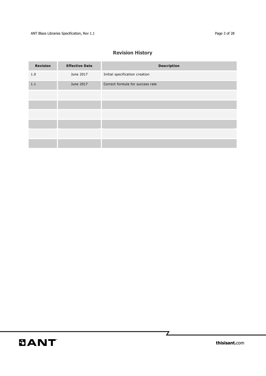### **Revision History**

| <b>Revision</b> | <b>Effective Date</b> | <b>Description</b>               |
|-----------------|-----------------------|----------------------------------|
| 1.0             | June 2017             | Initial specification creation   |
| $1.1\,$         | June 2017             | Correct formula for success rate |
|                 |                       |                                  |
|                 |                       |                                  |
|                 |                       |                                  |
|                 |                       |                                  |
|                 |                       |                                  |
|                 |                       |                                  |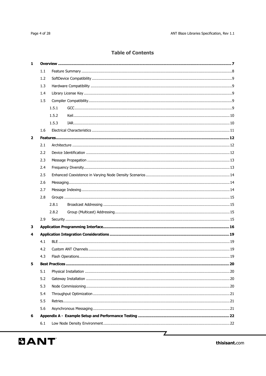#### **Table of Contents**

| $\mathbf{1}$   |     |       |  |  |  |  |  |
|----------------|-----|-------|--|--|--|--|--|
|                | 1.1 |       |  |  |  |  |  |
|                | 1.2 |       |  |  |  |  |  |
|                | 1.3 |       |  |  |  |  |  |
|                | 1.4 |       |  |  |  |  |  |
|                | 1.5 |       |  |  |  |  |  |
|                |     | 1.5.1 |  |  |  |  |  |
|                |     | 1.5.2 |  |  |  |  |  |
|                |     | 1.5.3 |  |  |  |  |  |
|                | 1.6 |       |  |  |  |  |  |
| $\overline{2}$ |     |       |  |  |  |  |  |
|                | 2.1 |       |  |  |  |  |  |
|                | 2.2 |       |  |  |  |  |  |
|                | 2.3 |       |  |  |  |  |  |
|                | 2.4 |       |  |  |  |  |  |
|                | 2.5 |       |  |  |  |  |  |
|                | 2.6 |       |  |  |  |  |  |
|                | 2.7 |       |  |  |  |  |  |
|                | 2.8 |       |  |  |  |  |  |
|                |     | 2.8.1 |  |  |  |  |  |
|                |     | 2.8.2 |  |  |  |  |  |
|                | 2.9 |       |  |  |  |  |  |
| 3              |     |       |  |  |  |  |  |
| 4              |     |       |  |  |  |  |  |
|                | 4.1 |       |  |  |  |  |  |
|                | 4.2 |       |  |  |  |  |  |
|                | 4.3 |       |  |  |  |  |  |
| 5              |     |       |  |  |  |  |  |
|                | 5.1 |       |  |  |  |  |  |
|                | 5.2 |       |  |  |  |  |  |
|                | 5.3 |       |  |  |  |  |  |
|                | 5.4 |       |  |  |  |  |  |
|                | 5.5 |       |  |  |  |  |  |
|                | 5.6 |       |  |  |  |  |  |
| 6              |     |       |  |  |  |  |  |
|                | 6.1 |       |  |  |  |  |  |
|                |     |       |  |  |  |  |  |

 $\mathbb{Z}$ 

thisisant.com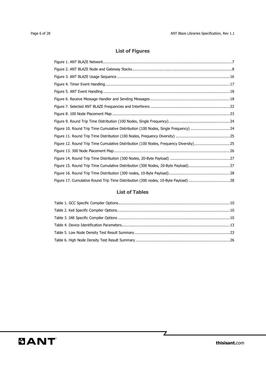### **List of Figures**

| Figure 10. Round Trip Time Cumulative Distribution (100 Nodes, Single Frequency) 24   |  |
|---------------------------------------------------------------------------------------|--|
|                                                                                       |  |
| Figure 12. Round Trip Time Cumulative Distribution (100 Nodes, Frequency Diversity)25 |  |
|                                                                                       |  |
|                                                                                       |  |
| Figure 15. Round Trip Time Cumulative Distribution (300 Nodes, 20-Byte Payload)27     |  |
|                                                                                       |  |
| Figure 17. Cumulative Round Trip Time Distribution (300 nodes, 10-Byte Payload)28     |  |

#### **List of Tables**

 $\mathbb{Z}$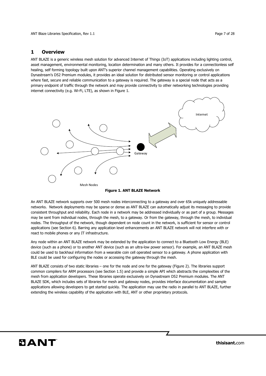ANT Blaze Libraries Specification, Rev 1.1 **Page 7** of 28

#### **1 Overview**

ANT BLAZE is a generic wireless mesh solution for advanced Internet of Things (IoT) applications including lighting control, asset management, environmental monitoring, location determination and many others. It provides for a connectionless self healing, self forming topology built upon ANT's superior channel management capabilities. Operating exclusively on Dynastream's D52 Premium modules, it provides an ideal solution for distributed sensor monitoring or control applications where fast, secure and reliable communication to a gateway is required. The gateway is a special node that acts as a primary endpoint of traffic through the network and may provide connectivity to other networking technologies providing internet connectivity (e.g. Wi-Fi, LTE), as shown in Figure 1.



#### **Figure 1. ANT BLAZE Network**

An ANT BLAZE network supports over 500 mesh nodes interconnecting to a gateway and over 65k uniquely addressable networks. Network deployments may be sparse or dense as ANT BLAZE can automatically adjust its messaging to provide consistent throughput and reliability. Each node in a network may be addressed individually or as part of a group. Messages may be sent from individual nodes, through the mesh, to a gateway. Or from the gateway, through the mesh, to individual nodes. The throughput of the network, though dependent on node count in the network, is sufficient for sensor or control applications (see Section 6). Barring any application level enhancements an ANT BLAZE network will not interfere with or react to mobile phones or any IT infrastructure.

Any node within an ANT BLAZE network may be extended by the application to connect to a Bluetooth Low Energy (BLE) device (such as a phone) or to another ANT device (such as an ultra-low power sensor). For example, an ANT BLAZE mesh could be used to backhaul information from a wearable coin cell operated sensor to a gateway. A phone application with BLE could be used for configuring the nodes or accessing the gateway through the mesh.

ANT BLAZE consists of two static libraries – one for the node and one for the gateway (Figure 2). The libraries support common compilers for ARM processors (see Section 1.5) and provide a simple API which abstracts the complexities of the mesh from application developers. These libraries operate exclusively on Dynastream D52 Premium modules. The ANT BLAZE SDK, which includes sets of libraries for mesh and gateway nodes, provides interface documentation and sample applications allowing developers to get started quickly. The application may use the radio in parallel to ANT BLAZE, further extending the wireless capability of the application with BLE, ANT or other proprietary protocols.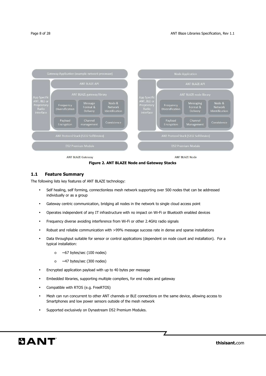

**Figure 2. ANT BLAZE Node and Gateway Stacks** 

#### **1.1 Feature Summary**

The following lists key features of ANT BLAZE technology:

- Self healing, self forming, connectionless mesh network supporting over 500 nodes that can be addressed individually or as a group
- Gateway centric communication, bridging all nodes in the network to single cloud access point
- Operates independent of any IT infrastructure with no impact on Wi-Fi or Bluetooth enabled devices
- Frequency diverse avoiding interference from Wi-Fi or other 2.4GHz radio signals
- Robust and reliable communication with >99% message success rate in dense and sparse installations
- Data throughput suitable for sensor or control applications (dependent on node count and installation). For a typical installation:
	- $\circ$  ~67 bytes/sec (100 nodes)
	- o ~47 bytes/sec (300 nodes)
- Encrypted application payload with up to 40 bytes per message
- Embedded libraries, supporting multiple compilers, for end nodes and gateway
- Compatible with RTOS (e.g. FreeRTOS)
- Mesh can run concurrent to other ANT channels or BLE connections on the same device, allowing access to Smartphones and low power sensors outside of the mesh network
- Supported exclusively on Dynastream D52 Premium Modules.

**thisisant.**com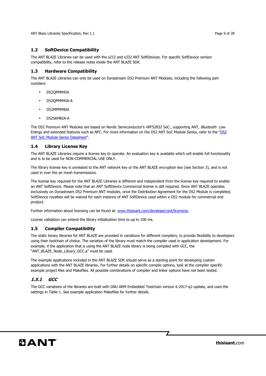ANT Blaze Libraries Specification, Rev 1.1 **Page 9 of 28** and 20 and 20 and 20 and 20 and 20 and 20 and 20 and 20 and 20 and 20 and 20 and 20 and 20 and 20 and 20 and 20 and 20 and 20 and 20 and 20 and 20 and 20 and 20 and

#### **1.2 SoftDevice Compatibility**

The ANT BLAZE Libraries can be used with the s212 and s332 ANT SoftDevices. For specific SoftDevice version compatibility, refer to the release notes inside the ANT BLAZE SDK.

#### **1.3 Hardware Compatibility**

The ANT BLAZE Libraries can only be used on Dynastream D52 Premium ANT Modules, including the following part numbers:

- D52QPMM4IA
- D52QPMM4IA-A
- D52MPMM8IA
- D52SKM6IA-A

The D52 Premium ANT Modules are based on Nordic Semiconductor's nRF52832 SoC., supporting ANT, *Bluetooth*<sup>,</sup> Low Energy and extended features such as NFC. For more information on the D52 ANT SoC Module Series, refer to the "D52 ANT SoC Module Series Datasheet".

#### **1.4 Library License Key**

The ANT BLAZE Libraries require a license key to operate. An evaluation key is available which will enable full functionality and is to be used for NON-COMMERCIAL USE ONLY.

The library license key is unrelated to the ANT network key or the ANT BLAZE encryption key (see Section 3), and is not used in over the air mesh transmissions.

The license key required for the ANT BLAZE Libraries is different and independent from the license key required to enable an ANT SoftDevice. Please note that an ANT SoftDevice Commercial license is still required. Since ANT BLAZE operates exclusively on Dynastream D52 Premium ANT modules, once the Distribution Agreement for the D52 Module is completed, SoftDevice royalties will be waived for each instance of ANT SoftDevice used within a D52 module for commercial end product.

Further information about licensing can be found at: www.thisisant.com/developer/ant/licensing.

License validation can extend the library initialization time to up to 100 ms.

#### **1.5 Compiler Compatibility**

The static binary libraries for ANT BLAZE are provided in variations for different compilers, to provide flexibility to developers using their toolchain of choice. The variation of the library must match the compiler used in application development. For example, if the application that is using the ANT BLAZE node library is being compiled with GCC, the "ANT\_BLAZE\_Node\_Library\_GCC.a" must be used.

The example applications included in the ANT BLAZE SDK should serve as a starting point for developing custom applications with the ANT BLAZE libraries. For further details on specific compile options, look at the compiler specific example project files and Makefiles. All possible combinations of compiler and linker options have not been tested.

#### **1.5.1 GCC**

The GCC variations of the libraries are built with GNU ARM Embedded Toolchain version 6-2017-q1-update, and uses the settings in Table 1. See example application Makefiles for further details.

7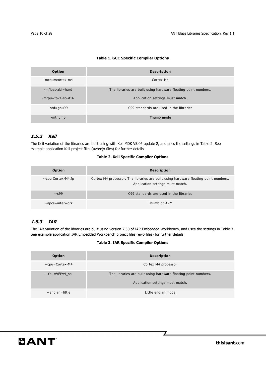#### **Table 1. GCC Specific Compiler Options**

| <b>Option</b>     | <b>Description</b>                                             |  |  |
|-------------------|----------------------------------------------------------------|--|--|
| -mcpu=cortex-m4   | Cortex-M4                                                      |  |  |
| -mfloat-abi=hard  | The libraries are built using hardware floating point numbers. |  |  |
| -mfpu=fpv4-sp-d16 | Application settings must match.                               |  |  |
| -std=gnu99        | C99 standards are used in the libraries                        |  |  |
| -mthumb           | Thumb mode                                                     |  |  |

#### **1.5.2 Keil**

The Keil variation of the libraries are built using with Keil MDK V5.06 update 2, and uses the settings in Table 2. See example application Keil project files (uvprojx files) for further details.

#### **Table 2. Keil Specific Compiler Options**

| Option             | <b>Description</b>                                                                                                      |
|--------------------|-------------------------------------------------------------------------------------------------------------------------|
| --cpu Cortex-M4.fp | Cortex M4 processor. The libraries are built using hardware floating point numbers.<br>Application settings must match. |
| $-C99$             | C99 standards are used in the libraries                                                                                 |
| --apcs=interwork   | Thumb or ARM                                                                                                            |

#### **1.5.3 IAR**

The IAR variation of the libraries are built using version 7.30 of IAR Embedded Workbench, and uses the settings in Table 3. See example application IAR Embedded Workbench project files (ewp files) for further details

#### **Table 3. IAR Specific Compiler Options**

| <b>Option</b>   | <b>Description</b>                                                                                 |  |  |
|-----------------|----------------------------------------------------------------------------------------------------|--|--|
| --cpu=Cortex-M4 | Cortex M4 processor                                                                                |  |  |
| --fpu=VFPv4 sp  | The libraries are built using hardware floating point numbers.<br>Application settings must match. |  |  |
| --endian=little | Little endian mode                                                                                 |  |  |

 $\overline{\mathbb{Z}}$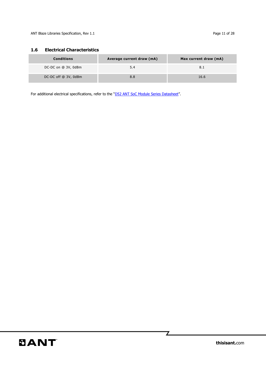#### **1.6 Electrical Characteristics**

| <b>Conditions</b>    | Average current draw (mA) | Max current draw (mA) |
|----------------------|---------------------------|-----------------------|
| DC-DC on @ 3V, 0dBm  | 5.4                       | 8.1                   |
| DC-DC off @ 3V, 0dBm | 8.8                       | 16.6                  |

For additional electrical specifications, refer to the "D52 ANT SoC Module Series Datasheet".

 $\overline{\mathbb{Z}}$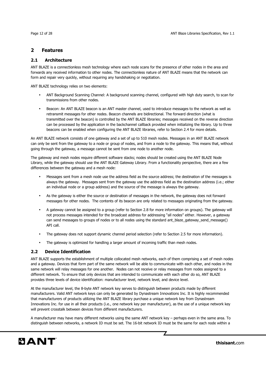#### **2 Features**

#### **2.1 Architecture**

ANT BLAZE is a connectionless mesh technology where each node scans for the presence of other nodes in the area and forwards any received information to other nodes. The connectionless nature of ANT BLAZE means that the network can form and repair very quickly, without requiring any handshaking or negotiation.

ANT BLAZE technology relies on two elements:

- ANT Background Scanning Channel: A background scanning channel, configured with high duty search, to scan for transmissions from other nodes.
- Beacon: An ANT BLAZE beacon is an ANT master channel, used to introduce messages to the network as well as retransmit messages for other nodes. Beacon channels are bidirectional. The forward direction (what is transmitted over the beacon) is controlled by the ANT BLAZE libraries; messages received on the reverse direction can be processed by the application in the backchannel callback provided when initializing the library. Up to three beacons can be enabled when configuring the ANT BLAZE libraries, refer to Section 2.4 for more details.

An ANT BLAZE network consists of one gateway and a set of up to 510 mesh nodes. Messages in an ANT BLAZE network can only be sent from the gateway to a node or group of nodes, and from a node to the gateway. This means that, without going through the gateway, a message cannot be sent from one node to another node.

The gateway and mesh nodes require different software stacks; nodes should be created using the ANT BLAZE Node Library, while the gateway should use the ANT BLAZE Gateway Library. From a functionality perspective, there are a few differences between the gateway and a mesh node:

- Messages sent from a mesh node use the address field as the source address; the destination of the messages is always the gateway. Messages sent from the gateway use the address field as the destination address (i.e.; either an individual node or a group address) and the source of the message is always the gateway.
- As the gateway is either the source or destination of messages in the network, the gateway does not forward messages for other nodes. The contents of its beacon are only related to messages originating from the gateway.
- A gateway cannot be assigned to a group (refer to Section 2.8 for more information on groups). The gateway will not process messages intended for the broadcast address for addressing "all nodes" either. However, a gateway can send messages to groups of nodes or to all nodes using the standard ant\_blaze\_gateway\_send\_message() API call.
- The gateway does not support dynamic channel period selection (refer to Section 2.5 for more information).
- The gateway is optimized for handling a larger amount of incoming traffic than mesh nodes.

#### **2.2 Device Identification**

ANT BLAZE supports the establishment of multiple collocated mesh networks, each of them comprising a set of mesh nodes and a gateway. Devices that form part of the same network will be able to communicate with each other, and nodes in the same network will relay messages for one another. Nodes can not receive or relay messages from nodes assigned to a different network. To ensure that only devices that are intended to communicate with each other do so, ANT BLAZE provides three levels of device identification: manufacturer level, network level, and device level.

At the manufacturer level, the 8-byte ANT network key serves to distinguish between products made by different manufacturers. Valid ANT network keys can only be generated by Dynastream Innovations Inc. It is highly recommended that manufacturers of products utilizing the ANT BLAZE library purchase a unique network key from Dynastream Innovations Inc. for use in all their products (i.e., one network key per manufacturer), as the use of a unique network key will prevent crosstalk between devices from different manufacturers.

A manufacturer may have many different networks using the same ANT network key – perhaps even in the same area. To distinguish between networks, a network ID must be set. The 16-bit network ID must be the same for each node within a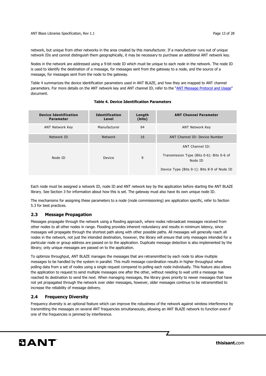network, but unique from other networks in the area created by this manufacturer. If a manufacturer runs out of unique network IDs and cannot distinguish them geographically, it may be necessary to purchase an additional ANT network key.

Nodes in the network are addressed using a 9-bit node ID which must be unique to each node in the network. The node ID is used to identify the destination of a message, for messages sent from the gateway to a node, and the source of a message, for messages sent from the node to the gateway.

Table 4 summarizes the device identification parameters used in ANT BLAZE, and how they are mapped to ANT channel parameters. For more details on the ANT network key and ANT channel ID, refer to the "ANT Message Protocol and Usage" document.

#### **Table 4. Device Identification Parameters**

| <b>Device Identification</b><br><b>Parameter</b> | <b>Identification</b><br>Level | Length<br>(bits) | <b>ANT Channel Parameter</b>                                                                                           |
|--------------------------------------------------|--------------------------------|------------------|------------------------------------------------------------------------------------------------------------------------|
| ANT Network Key                                  | Manufacturer                   | 64               | <b>ANT Network Key</b>                                                                                                 |
| Network ID                                       | <b>Network</b>                 | 16               | ANT Channel ID: Device Number                                                                                          |
| Node ID                                          | Device                         | 9                | ANT Channel ID:<br>Transmission Type (Bits 0-6): Bits 0-6 of<br>Node ID<br>Device Type (Bits 0-1): Bits 8-9 of Node ID |

Each node must be assigned a network ID, node ID and ANT network key by the application before starting the ANT BLAZE library. See Section 3 for information about how this is set. The gateway must also have its own unique node ID.

The mechanisms for assigning these parameters to a node (node commissioning) are application specific, refer to Section 5.3 for best practices.

#### **2.3 Message Propagation**

Messages propagate through the network using a flooding approach, where nodes rebroadcast messages received from other nodes to all other nodes in range. Flooding provides inherent redundancy and results in minimum latency, since messages will propagate through the shortest path along with other possible paths. All messages will generally reach all nodes in the network, not just the intended destination, however, the library will ensure that only messages intended for a particular node or group address are passed on to the application. Duplicate message detection is also implemented by the library; only unique messages are passed on to the application.

To optimize throughput, ANT BLAZE manages the messages that are retransmitted by each node to allow multiple messages to be handled by the system in parallel. This multi message coordination results in higher throughput when polling data from a set of nodes using a single request compared to polling each node individually. This feature also allows the application to request to send multiple messages one after the other, without needing to wait until a message has reached its destination to send the next. When managing messages, the library gives priority to newer messages that have not yet propagated through the network over older messages, however, older messages continue to be retransmitted to increase the reliability of message delivery.

#### **2.4 Frequency Diversity**

Frequency diversity is an optional feature which can improve the robustness of the network against wireless interference by transmitting the messages on several ANT frequencies simultaneously, allowing an ANT BLAZE network to function even if one of the frequencies is jammed by interference.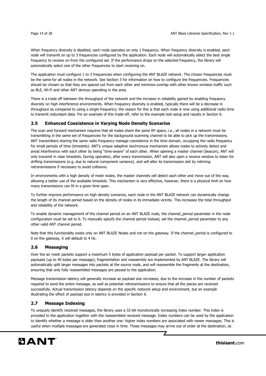When frequency diversity is disabled, each node operates on only 1 frequency. When frequency diversity is enabled, each node will transmit on up to 3 frequencies configured by the application. Each node will automatically select the best single frequency to receive on from the configured set. If the performance drops on the selected frequency, the library will automatically select one of the other frequencies to start receiving on.

The application must configure 1 to 3 frequencies when configuring the ANT BLAZE network. The chosen frequencies must be the same for all nodes in the network. See Section 3 for information on how to configure the frequencies. Frequencies should be chosen so that they are spaced out from each other and minimize overlap with other known wireless traffic such as BLE, Wi-Fi and other ANT devices operating in the area.

There is a trade off between the throughput of the network and the increase in reliability gained by enabling frequency diversity on high interference environments. When frequency diversity is enabled, typically there will be a decrease in throughput as compared to using a single frequency; the reason for this is that each node is now using additional radio time to transmit redundant data. For an example of this trade-off, refer to the example test setup and results in Section 6.

#### **2.5 Enhanced Coexistence in Varying Node Density Scenarios**

The scan and forward mechanism requires that all nodes share the same RF space, i.e., all nodes in a network must be transmitting in the same set of frequencies for the background scanning channel to be able to pick up the transmissions. ANT transmitters sharing the same radio frequency manage coexistence in the time domain, occupying the radio frequency for small periods of time (timeslots). ANT's unique adaptive isochronous mechanism allows nodes to actively detect and avoid interference with each other by being "time-aware" of each other. When opening a master channel (beacon), ANT will only transmit in clear timeslots. During operation, after every transmission, ANT will also open a receive window to listen for drifting transmissions (e.g. due to natural component variance), and will alter its transmission slot by retiming retransmissions if necessary to avoid collisions.

In environments with a high density of mesh nodes, the master channels will detect each other and move out of the way, allowing a better use of the available timeslots. This mechanism is very effective, however, there is a physical limit on how many transmissions can fit in a given time span.

To further improve performance on high density scenarios, each node in the ANT BLAZE network can dynamically change the length of its channel period based on the density of nodes in its immediate vicinity. This increases the total throughput and reliability of the network.

To enable dynamic management of the channel period on an ANT BLAZE node, the channel\_period parameter in the node configuration must be set to 0. To manually specify the channel period instead, set the channel\_period parameter to any other valid ANT channel period.

Note that this functionality exists only on ANT BLAZE Nodes and not on the gateway. If the channel\_period is configured to 0 on the gateway, it will default to 4 Hz.

#### **2.6 Messaging**

Over the air mesh packets support a maximum 5 bytes of application payload per packet. To support larger application payloads (up to 40 bytes per message), fragmentation and reassembly are implemented by ANT BLAZE. The library will automatically split larger messages into packets at the source node, and will reassemble the fragments at the destination, ensuring that only fully reassembled messages are passed to the application.

Message transmission latency will generally increase as payload size increases, due to the increase in the number of packets required to send the entire message, as well as potential retransmissions to ensure that all the pieces are received successfully. Actual transmission latency depends on the specific network setup and environment, but an example illustrating the effect of payload size in latency is provided in Section 6.

#### **2.7 Message Indexing**

To uniquely identify received messages, the library uses a 32-bit monotonically increasing index number. This index is provided to the application together with the reassembled received message. Index numbers can be used by the application to identify whether a message is older than another one: higher index numbers are associated with newer messages. This is useful when multiple messages are generated close in time. These messages may arrive out of order at the destination, as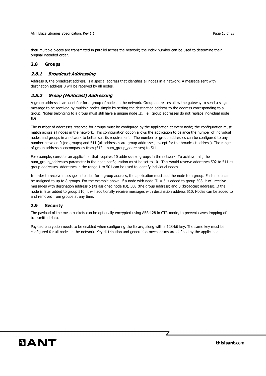their multiple pieces are transmitted in parallel across the network; the index number can be used to determine their original intended order.

#### **2.8 Groups**

#### **2.8.1 Broadcast Addressing**

Address 0, the broadcast address, is a special address that identifies all nodes in a network. A message sent with destination address 0 will be received by all nodes.

#### **2.8.2 Group (Multicast) Addressing**

A group address is an identifier for a group of nodes in the network. Group addresses allow the gateway to send a single message to be received by multiple nodes simply by setting the destination address to the address corresponding to a group. Nodes belonging to a group must still have a unique node ID, i.e., group addresses do not replace individual node IDs.

The number of addresses reserved for groups must be configured by the application at every node; the configuration must match across all nodes in the network. This configuration option allows the application to balance the number of individual nodes and groups in a network to better suit its requirements. The number of group addresses can be configured to any number between 0 (no groups) and 511 (all addresses are group addresses, except for the broadcast address). The range of group addresses encompasses from (512 – num\_group\_addresses) to 511.

For example, consider an application that requires 10 addressable groups in the network. To achieve this, the num\_group\_addresses parameter in the node configuration must be set to 10. This would reserve addresses 502 to 511 as group addresses. Addresses in the range 1 to 501 can be used to identify individual nodes.

In order to receive messages intended for a group address, the application must add the node to a group. Each node can be assigned to up to 8 groups. For the example above, if a node with node  $ID = 5$  is added to group 508, it will receive messages with destination address 5 (its assigned node ID), 508 (the group address) and 0 (broadcast address). If the node is later added to group 510, it will additionally receive messages with destination address 510. Nodes can be added to and removed from groups at any time.

#### **2.9 Security**

The payload of the mesh packets can be optionally encrypted using AES-128 in CTR mode, to prevent eavesdropping of transmitted data.

Payload encryption needs to be enabled when configuring the library, along with a 128-bit key. The same key must be configured for all nodes in the network. Key distribution and generation mechanisms are defined by the application.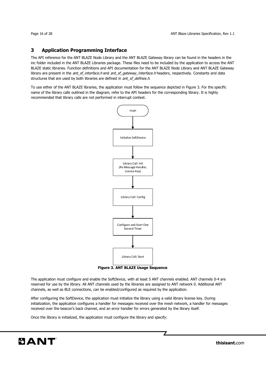#### **3 Application Programming Interface**

The API reference for the ANT BLAZE Node Library and the ANT BLAZE Gateway library can be found in the headers in the inc folder included in the ANT BLAZE Libraries package. These files need to be included by the application to access the ANT BLAZE static libraries. Function definitions and API documentation for the ANT BLAZE Node Library and ANT BLAZE Gateway library are present in the ant\_sf\_interface.h and ant\_sf\_gateway\_interface.h headers, respectively. Constants and data structures that are used by both libraries are defined in *ant\_sf\_defines.h.* 

To use either of the ANT BLAZE libraries, the application must follow the sequence depicted in Figure 3. For the specific name of the library calls outlined in the diagram, refer to the API headers for the corresponding library. It is highly recommended that library calls are not performed in interrupt context.



**Figure 3. ANT BLAZE Usage Sequence** 

The application must configure and enable the SoftDevice, with at least 5 ANT channels enabled. ANT channels 0-4 are reserved for use by the library. All ANT channels used by the libraries are assigned to ANT network 0. Additional ANT channels, as well as BLE connections, can be enabled/configured as required by the application.

After configuring the SoftDevice, the application must initialize the library using a valid library license key. During initialization, the application configures a handler for messages received over the mesh network, a handler for messages received over the beacon's back channel, and an error handler for errors generated by the library itself.

Once the library is initialized, the application must configure the library and specify: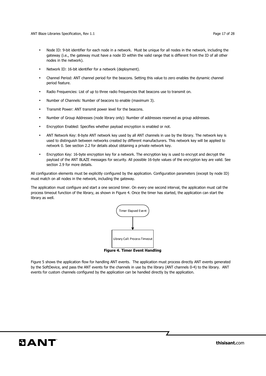ANT Blaze Libraries Specification, Rev 1.1 **Page 17** of 28

- Node ID: 9-bit identifier for each node in a network. Must be unique for all nodes in the network, including the gateway (i.e., the gateway must have a node ID within the valid range that is different from the ID of all other nodes in the network).
- Network ID: 16-bit identifier for a network (deployment).
- Channel Period: ANT channel period for the beacons. Setting this value to zero enables the dynamic channel period feature.
- Radio Frequencies: List of up to three radio frequencies that beacons use to transmit on.
- Number of Channels: Number of beacons to enable (maximum 3).
- Transmit Power: ANT transmit power level for the beacons.
- Number of Group Addresses (node library only): Number of addresses reserved as group addresses.
- Encryption Enabled: Specifies whether payload encryption is enabled or not.
- ANT Network Key: 8-byte ANT network key used by all ANT channels in use by the library. The network key is used to distinguish between networks created by different manufacturers. This network key will be applied to network 0. See section 2.2 for details about obtaining a private network key.
- Encryption Key: 16-byte encryption key for a network. The encryption key is used to encrypt and decrypt the payload of the ANT BLAZE messages for security. All possible 16-byte values of the encryption key are valid. See section 2.9 for more details.

All configuration elements must be explicitly configured by the application. Configuration parameters (except by node ID) must match on all nodes in the network, including the gateway.

The application must configure and start a one second timer. On every one second interval, the application must call the process timeout function of the library, as shown in Figure 4. Once the timer has started, the application can start the library as well.



Figure 5 shows the application flow for handling ANT events. The application must process directly ANT events generated by the SoftDevice, and pass the ANT events for the channels in use by the library (ANT channels 0-4) to the library. ANT events for custom channels configured by the application can be handled directly by the application.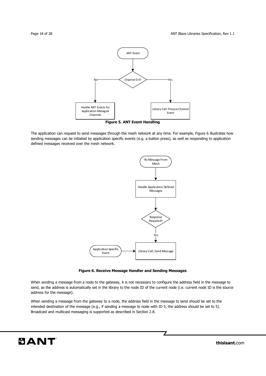

The application can request to send messages through the mesh network at any time. For example, Figure 6 illustrates how sending messages can be initiated by application specific events (e.g. a button press), as well as responding to application defined messages received over the mesh network.



**Figure 6. Receive Message Handler and Sending Messages** 

When sending a message from a node to the gateway, it is not necessary to configure the address field in the message to send, as the address is automatically set in the library to the node ID of the current node (i.e. current node ID is the source address for the message).

7

When sending a message from the gateway to a node, the address field in the message to send should be set to the intended destination of the message (e.g., if sending a message to node with ID 5, the address should be set to 5). Broadcast and multicast messaging is supported as described in Section 2.8.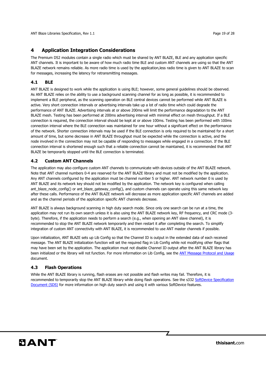ANT Blaze Libraries Specification, Rev 1.1 **Page 19 of 28** and 20 and 20 and 20 and 20 and 20 and 20 and 20 and 20 and 20 and 20 and 20 and 20 and 20 and 20 and 20 and 20 and 20 and 20 and 20 and 20 and 20 and 20 and 20 an

#### **4 Application Integration Considerations**

The Premium D52 modules contain a single radio which must be shared by ANT BLAZE, BLE and any application specific ANT channels. It is important to be aware of how much radio time BLE and custom ANT channels are using so that the ANT BLAZE network remains reliable. As more radio time is used by the application,less radio time is given to ANT BLAZE to scan for messages, increasing the latency for retransmitting messages.

#### **4.1 BLE**

ANT BLAZE is designed to work while the application is using BLE; however, some general guidelines should be observed. As ANT BLAZE relies on the ability to use a background scanning channel for as long as possible, it is recommended to implement a BLE peripheral, as the scanning operation on BLE central devices cannot be performed while ANT BLAZE is active. Very short connection intervals or advertising intervals take up a lot of radio time which could degrade the performance of ANT BLAZE. Advertising intervals at or above 200ms will limit the performance degradation to the ANT BLAZE mesh. Testing has been performed at 200ms advertising interval with minimal effect on mesh throughput. If a BLE connection is required, the connection interval should be kept at or above 100ms. Testing has been performed with 100ms connection interval where the BLE connection was maintained for one hour without a significant effect on the performance of the network. Shorter connection intervals may be used if the BLE connection is only required to be maintained for a short amount of time, but some decrease in ANT BLAZE throughput must be expected while the connection is active, and the node involved in the connection may not be capable of responding to messages while engaged in a connection. If the BLE connection interval is shortened enough such that a reliable connection cannot be maintained, it is recommended that ANT BLAZE be temporarily stopped until the BLE connection is terminated.

#### **4.2 Custom ANT Channels**

The application may also configure custom ANT channels to communicate with devices outside of the ANT BLAZE network. Note that ANT channel numbers 0-4 are reserved for the ANT BLAZE library and must not be modified by the application. Any ANT channels configured by the application must be channel number 5 or higher. ANT network number 0 is used by ANT BLAZE and its network key should not be modified by the application. The network key is configured when calling ant\_blaze\_node\_config() or ant\_blaze\_gateway\_config(), and custom channels can operate using this same network key after these calls. Performance of the ANT BLAZE network will decrease as more application specific ANT channels are added and as the channel periods of the application specific ANT channels decrease.

ANT BLAZE is always background scanning in high duty search mode. Since only one search can be run at a time, the application may not run its own search unless it is also using the ANT BLAZE network key, RF frequency, and CRC mode (3 byte). Therefore, if the application needs to perform a search (e.g., when opening an ANT slave channel), it is recommended to stop the ANT BLAZE network temporarily and then restart it after completing the search. To simplify integration of custom ANT connectivity with ANT BLAZE, it is recommended to use ANT master channels if possible.

Upon initialization, ANT BLAZE sets up Lib Config so that the Channel ID is output in the extended data of each received message. The ANT BLAZE initialization function will set the required flag in Lib Config while not modifying other flags that may have been set by the application. The application must not disable Channel ID output after the ANT BLAZE library has been initialized or the library will not function. For more information on Lib Config, see the ANT Message Protocol and Usage document.

#### **4.3 Flash Operations**

While the ANT BLAZE library is running, flash erases are not possible and flash writes may fail. Therefore, it is recommended to temporarily stop the ANT BLAZE library while doing flash operations. See the s332 SoftDevice Specification Document (SDS) for more information on high duty search and using it with various SoftDevice features.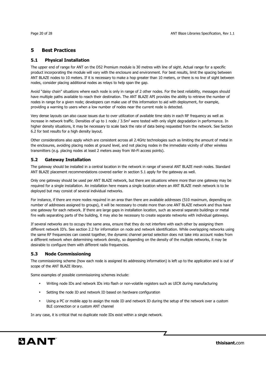#### **5 Best Practices**

#### **5.1 Physical Installation**

The upper end of range for ANT on the D52 Premium module is 30 metres with line of sight. Actual range for a specific product incorporating the module will vary with the enclosure and environment. For best results, limit the spacing between ANT BLAZE nodes to 10 meters. If it is necessary to make a hop greater than 10 meters, or there is no line of sight between nodes, consider placing additional nodes as relays to help span the gap.

Avoid "daisy chain" situations where each node is only in range of 2 other nodes. For the best reliability, messages should have multiple paths available to reach their destination. The ANT BLAZE API provides the ability to retrieve the number of nodes in range for a given node; developers can make use of this information to aid with deployment, for example, providing a warning to users when a low number of nodes near the current node is detected.

Very dense layouts can also cause issues due to over utilization of available time slots in each RF frequency as well as increase in network traffic. Densities of up to 1 node / 3.5m<sup>2</sup> were tested with only slight degradation in performance. In higher density situations, it may be necessary to scale back the rate of data being requested from the network. See Section 6.2 for test results for a high density layout.

Other considerations also apply which are consistent across all 2.4GHz technologies such as limiting the amount of metal in the enclosures, avoiding placing nodes at ground level, and not placing nodes in the immediate vicinity of other wireless transmitters (e.g. placing nodes at least 2 meters away from Wi-Fi access points).

#### **5.2 Gateway Installation**

The gateway should be installed in a central location in the network in range of several ANT BLAZE mesh nodes. Standard ANT BLAZE placement recommendations covered earlier in section 5.1 apply for the gateway as well.

Only one gateway should be used per ANT BLAZE network, but there are situations where more than one gateway may be required for a single installation. An installation here means a single location where an ANT BLAZE mesh network is to be deployed but may consist of several individual networks.

For instance, if there are more nodes required in an area than there are available addresses (510 maximum, depending on number of addresses assigned to groups), it will be necessary to create more than one ANT BLAZE network and thus have one gateway for each network. If there are large gaps in installation location, such as several separate buildings or metal fire walls separating parts of the building, it may also be necessary to create separate networks with individual gateways.

If several networks are to occupy the same area, ensure that they do not interfere with each other by assigning them different network ID's. See section 2.2 for information on node and network identification. While overlapping networks using the same RF frequencies can coexist together, the dynamic channel period selection does not take into account nodes from a different network when determining network density, so depending on the density of the multiple networks, it may be desirable to configure them with different radio frequencies.

#### **5.3 Node Commissioning**

The commissioning scheme (how each node is assigned its addressing information) is left up to the application and is out of scope of the ANT BLAZE library.

Some examples of possible commissioning schemes include:

- Writing node IDs and network IDs into flash or non-volatile registers such as UICR during manufacturing
- Setting the node ID and network ID based on hardware configuration
- Using a PC or mobile app to assign the node ID and network ID during the setup of the network over a custom BLE connection or a custom ANT channel

In any case, it is critical that no duplicate node IDs exist within a single network.

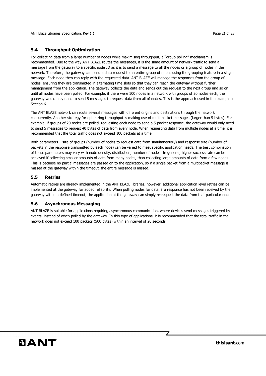ANT Blaze Libraries Specification, Rev 1.1 **Page 21** of 28

#### **5.4 Throughput Optimization**

For collecting data from a large number of nodes while maximising throughput, a "group polling" mechanism is recommended. Due to the way ANT BLAZE routes the messages, it is the same amount of network traffic to send a message from the gateway to a specific node ID as it is to send a message to all the nodes or a group of nodes in the network. Therefore, the gateway can send a data request to an entire group of nodes using the grouping feature in a single message. Each node then can reply with the requested data. ANT BLAZE will manage the responses from the group of nodes, ensuring they are transmitted in alternating time slots so that they can reach the gateway without further management from the application. The gateway collects the data and sends out the request to the next group and so on until all nodes have been polled. For example, if there were 100 nodes in a network with groups of 20 nodes each, the gateway would only need to send 5 messages to request data from all of nodes. This is the approach used in the example in Section 6.

The ANT BLAZE network can route several messages with different origins and destinations through the network concurrently. Another strategy for optimizing throughput is making use of multi packet messages (larger than 5 bytes). For example, if groups of 20 nodes are polled, requesting each node to send a 5-packet response, the gateway would only need to send 5 messages to request 40 bytes of data from every node. When requesting data from multiple nodes at a time, it is recommended that the total traffic does not exceed 100 packets at a time.

Both parameters – size of groups (number of nodes to request data from simultaneously) and response size (number of packets in the response transmitted by each node) can be varied to meet specific application needs. The best combination of these parameters may vary with node density, distribution, number of nodes. In general, higher success rate can be achieved if collecting smaller amounts of data from many nodes, than collecting large amounts of data from a few nodes. This is because no partial messages are passed on to the application, so if a single packet from a multipacket message is missed at the gateway within the timeout, the entire message is missed.

#### **5.5 Retries**

Automatic retries are already implemented in the ANT BLAZE libraries, however, additional application level retries can be implemented at the gateway for added reliability. When polling nodes for data, if a response has not been received by the gateway within a defined timeout, the application at the gateway can simply re-request the data from that particular node.

#### **5.6 Asynchronous Messaging**

ANT BLAZE is suitable for applications requiring asynchronous communication, where devices send messages triggered by events, instead of when polled by the gateway. In this type of applications, it is recommended that the total traffic in the network does not exceed 100 packets (500 bytes) within an interval of 20 seconds.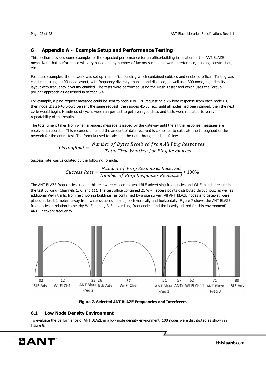#### **6 Appendix A - Example Setup and Performance Testing**

This section provides some examples of the expected performance for an office-building installation of the ANT BLAZE mesh. Note that performance will vary based on any number of factors such as network interference, building construction, etc.

For these examples, the network was set up in an office building which contained cubicles and enclosed offices. Testing was conducted using a 100-node layout, with frequency diversity enabled and disabled; as well as a 300 node, high density layout with frequency diversity enabled. The tests were performed using the Mesh Tester tool which uses the "group polling" approach as described in section 5.4.

For example, a ping request message could be sent to node IDs 1-20 requesting a 25-byte response from each node ID, then node IDs 21-40 would be sent the same request, then nodes 41-60, etc. until all nodes had been pinged, then the next cycle would begin. Hundreds of cycles were run per test to get averaged data, and tests were repeated to verify repeatability of the results.

The total time it takes from when a request message is issued by the gateway until the all the response messages are received is recorded. This recorded time and the amount of data received is combined to calculate the throughput of the network for the entire test. The formula used to calculate the data throughput is as follows:

$$
Throughput = \frac{Number\ of\ Bytes\ Received\ from\ All\ Ping\ Respones}{Total\ Time\ Waiting\ for\ Ping\ Respones}
$$

Success rate was calculated by the following formula:

$$
Success Rate = \frac{Number\ of\ Ping\ Response\ received}{Number\ of\ Ping\ Response\ Requested} * 100\%
$$

The ANT BLAZE frequencies used in this test were chosen to avoid BLE advertising frequencies and Wi-Fi bands present in the test building (Channels 1, 6, and 11). The test office contained 21 Wi-Fi access points distributed throughout, as well as additional Wi-Fi traffic from neighboring buildings, as confirmed by a site survey. All ANT BLAZE nodes and gateway were placed at least 2 meters away from wireless access points, both vertically and horizontally. Figure 7 shows the ANT BLAZE frequencies in relation to nearby Wi-Fi bands, BLE advertising frequencies, and the heavily utilized (in this environment) ANT+ network frequency.



**Figure 7. Selected ANT BLAZE Frequencies and Interferers** 

#### **6.1 Low Node Density Environment**

To evaluate the performance of ANT BLAZE in a low node density environment, 100 nodes were distributed as shown in Figure 8.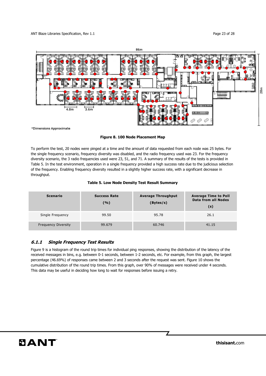

\*Dimensions Approximate

**Figure 8. 100 Node Placement Map** 

To perform the test, 20 nodes were pinged at a time and the amount of data requested from each node was 25 bytes. For the single frequency scenario, frequency diversity was disabled, and the radio frequency used was 23. For the frequency diversity scenario, the 3 radio frequencies used were 23, 51, and 71. A summary of the results of the tests is provided in Table 5. In the test environment, operation in a single frequency provided a high success rate due to the judicious selection of the frequency. Enabling frequency diversity resulted in a slightly higher success rate, with a significant decrease in throughput.

#### **Table 5. Low Node Density Test Result Summary**

| <b>Scenario</b>            | <b>Success Rate</b><br>(%) | <b>Average Throughput</b><br>(Bytes/s) | <b>Average Time to Poll</b><br><b>Data from all Nodes</b><br>(s) |
|----------------------------|----------------------------|----------------------------------------|------------------------------------------------------------------|
| Single Frequency           | 99.50                      | 95.78                                  | 26.1                                                             |
| <b>Frequency Diversity</b> | 99.679                     | 60.746                                 | 41.15                                                            |

#### **6.1.1 Single Frequency Test Results**

Figure 9 is a histogram of the round trip times for individual ping responses, showing the distribution of the latency of the received messages in bins, e.g. between 0-1 seconds, between 1-2 seconds, etc. For example, from this graph, the largest percentage (46.69%) of responses came between 2 and 3 seconds after the request was sent. Figure 10 shows the cumulative distribution of the round trip times. From this graph, over 90% of messages were received under 4 seconds. This data may be useful in deciding how long to wait for responses before issuing a retry.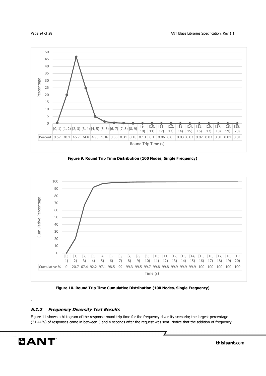



**Figure 9. Round Trip Time Distribution (100 Nodes, Single Frequency)** 



**Figure 10. Round Trip Time Cumulative Distribution (100 Nodes, Single Frequency)** 

#### **6.1.2 Frequency Diversity Test Results**

Figure 11 shows a histogram of the response round trip time for the frequency diversity scenario; the largest percentage (31.44%) of responses came in between 3 and 4 seconds after the request was sent. Notice that the addition of frequency

.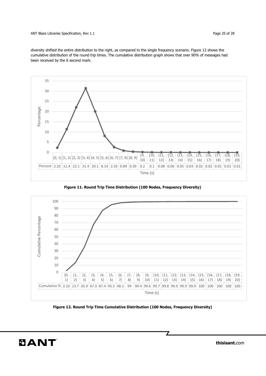ANT Blaze Libraries Specification, Rev 1.1 **Page 25 of 28** and 25 of 28

diversity shifted the entire distribution to the right, as compared to the single frequency scenario. Figure 12 shows the cumulative distribution of the round trip times. The cumulative distribution graph shows that over 90% of messages had been received by the 6 second mark.



**Figure 11. Round Trip Time Distribution (100 Nodes, Frequency Diversity)** 



**Figure 12. Round Trip Time Cumulative Distribution (100 Nodes, Frequency Diversity)** 

 $\mathbf{z}$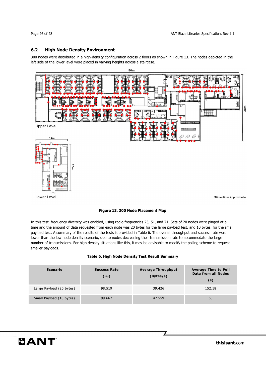#### **6.2 High Node Density Environment**

300 nodes were distributed in a high-density configuration across 2 floors as shown in Figure 13. The nodes depicted in the left side of the lower level were placed in varying heights across a staircase.



Lower Level

\*Dimentions Approximate

#### **Figure 13. 300 Node Placement Map**

In this test, frequency diversity was enabled, using radio frequencies 23, 51, and 71. Sets of 20 nodes were pinged at a time and the amount of data requested from each node was 20 bytes for the large payload test, and 10 bytes, for the small payload test. A summary of the results of the tests is provided in Table 6. The overall throughput and success rate was lower than the low node density scenario, due to nodes decreasing their transmission rate to accommodate the large number of transmissions. For high density situations like this, it may be advisable to modify the polling scheme to request smaller payloads.

|  |  |  |  |  |  | Table 6. High Node Density Test Result Summary |
|--|--|--|--|--|--|------------------------------------------------|
|--|--|--|--|--|--|------------------------------------------------|

| <b>Scenario</b>          | <b>Success Rate</b><br>(%) | <b>Average Throughput</b><br>(Bytes/s) | <b>Average Time to Poll</b><br><b>Data from all Nodes</b><br>(s) |
|--------------------------|----------------------------|----------------------------------------|------------------------------------------------------------------|
| Large Payload (20 bytes) | 98.519                     | 39.426                                 | 152.18                                                           |
| Small Payload (10 bytes) | 99.667                     | 47.559                                 | 63                                                               |

 $\overline{\mathbb{Z}}$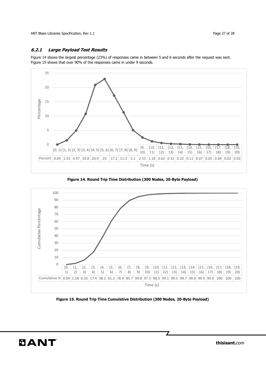#### **6.2.1 Large Payload Test Results**

Figure 14 shows the largest percentage (23%) of responses came in between 5 and 6 seconds after the request was sent. Figure 15 shows that over 90% of the responses came in under 9 seconds.



**Figure 14. Round Trip Time Distribution (300 Nodes, 20-Byte Payload)** 



**Figure 15. Round Trip Time Cumulative Distribution (300 Nodes, 20-Byte Payload)**

 $\mathbf{z}$